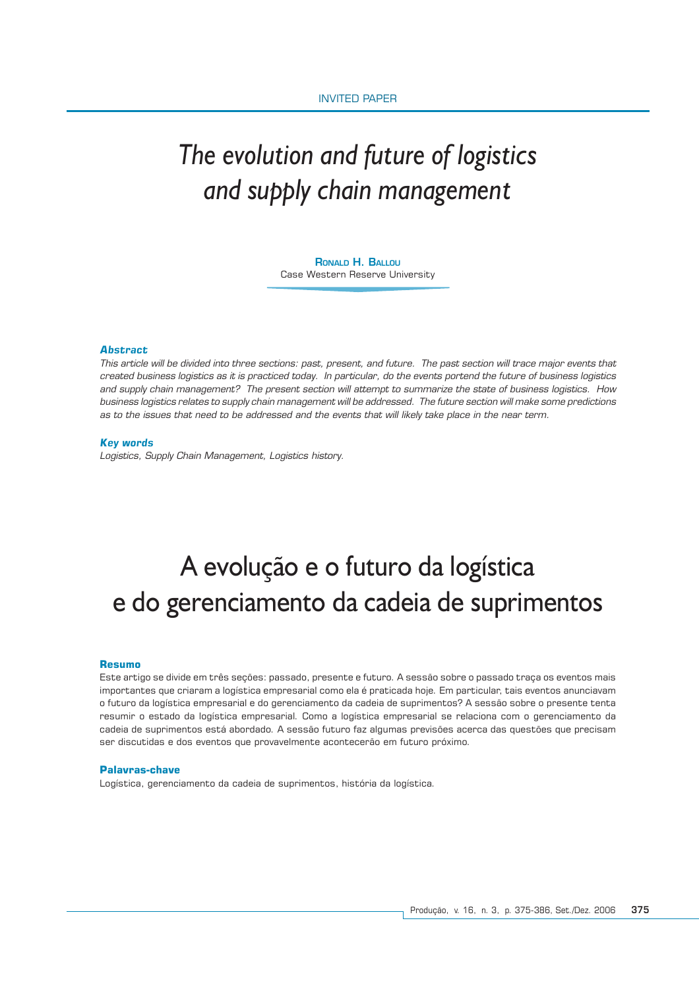# *The evolution and future of logistics and supply chain management*

RONALD H. BALLOU Case Western Reserve University

#### *Abstract*

*This article will be divided into three sections: past, present, and future. The past section will trace major events that created business logistics as it is practiced today. In particular, do the events portend the future of business logistics and supply chain management? The present section will attempt to summarize the state of business logistics. How business logistics relates to supply chain management will be addressed. The future section will make some predictions as to the issues that need to be addressed and the events that will likely take place in the near term.*

#### *Key words*

*Logistics, Supply Chain Management, Logistics history.*

# A evolução e o futuro da logística e do gerenciamento da cadeia de suprimentos

### **Resumo**

Este artigo se divide em três seções: passado, presente e futuro. A sessão sobre o passado traça os eventos mais importantes que criaram a logística empresarial como ela é praticada hoje. Em particular, tais eventos anunciavam o futuro da logística empresarial e do gerenciamento da cadeia de suprimentos? A sessão sobre o presente tenta resumir o estado da logística empresarial. Como a logística empresarial se relaciona com o gerenciamento da cadeia de suprimentos está abordado. A sessão futuro faz algumas previsões acerca das questões que precisam ser discutidas e dos eventos que provavelmente acontecerão em futuro próximo.

#### **Palavras-chave**

Logística, gerenciamento da cadeia de suprimentos, história da logística.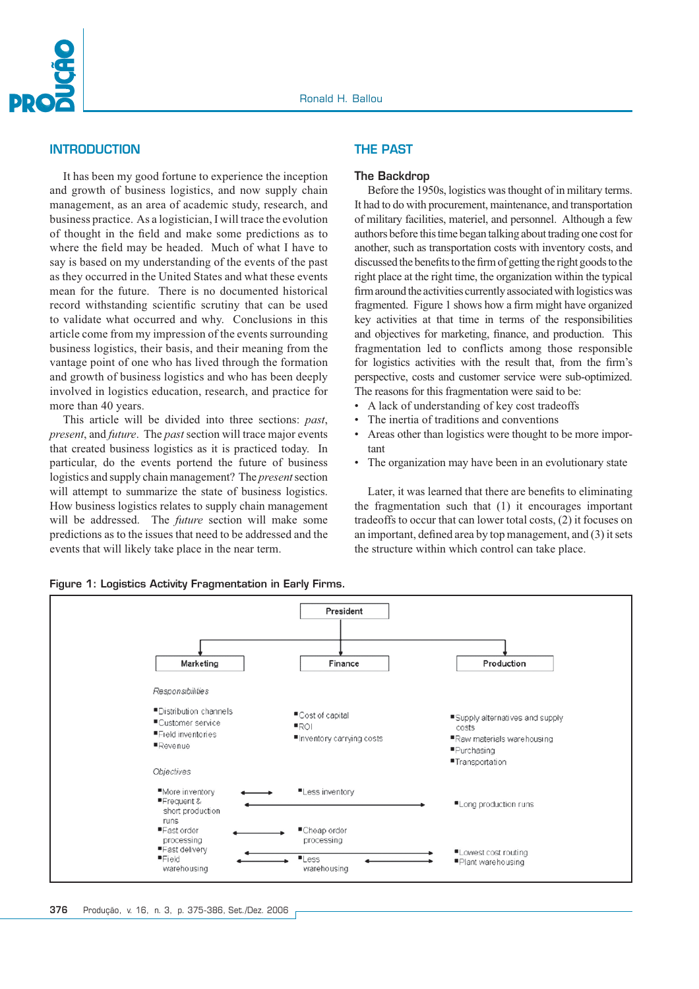

It has been my good fortune to experience the inception and growth of business logistics, and now supply chain management, as an area of academic study, research, and business practice. As a logistician, I will trace the evolution of thought in the field and make some predictions as to where the field may be headed. Much of what I have to say is based on my understanding of the events of the past as they occurred in the United States and what these events mean for the future. There is no documented historical record withstanding scientific scrutiny that can be used to validate what occurred and why. Conclusions in this article come from my impression of the events surrounding business logistics, their basis, and their meaning from the vantage point of one who has lived through the formation and growth of business logistics and who has been deeply involved in logistics education, research, and practice for more than 40 years.

This article will be divided into three sections: *past*, *present*, and *future*. The *past* section will trace major events that created business logistics as it is practiced today. In particular, do the events portend the future of business logistics and supply chain management? The *present* section will attempt to summarize the state of business logistics. How business logistics relates to supply chain management will be addressed. The *future* section will make some predictions as to the issues that need to be addressed and the events that will likely take place in the near term.

# THE PAST

## The Backdrop

Before the 1950s, logistics was thought of in military terms. It had to do with procurement, maintenance, and transportation of military facilities, materiel, and personnel. Although a few authors before this time began talking about trading one cost for another, such as transportation costs with inventory costs, and discussed the benefits to the firm of getting the right goods to the right place at the right time, the organization within the typical firm around the activities currently associated with logistics was fragmented. Figure 1 shows how a firm might have organized key activities at that time in terms of the responsibilities and objectives for marketing, finance, and production. This fragmentation led to conflicts among those responsible for logistics activities with the result that, from the firm's perspective, costs and customer service were sub-optimized. The reasons for this fragmentation were said to be:

- A lack of understanding of key cost tradeoffs
- The inertia of traditions and conventions
- Areas other than logistics were thought to be more important
- The organization may have been in an evolutionary state

Later, it was learned that there are benefits to eliminating the fragmentation such that (1) it encourages important tradeoffs to occur that can lower total costs, (2) it focuses on an important, defined area by top management, and  $(3)$  it sets the structure within which control can take place.

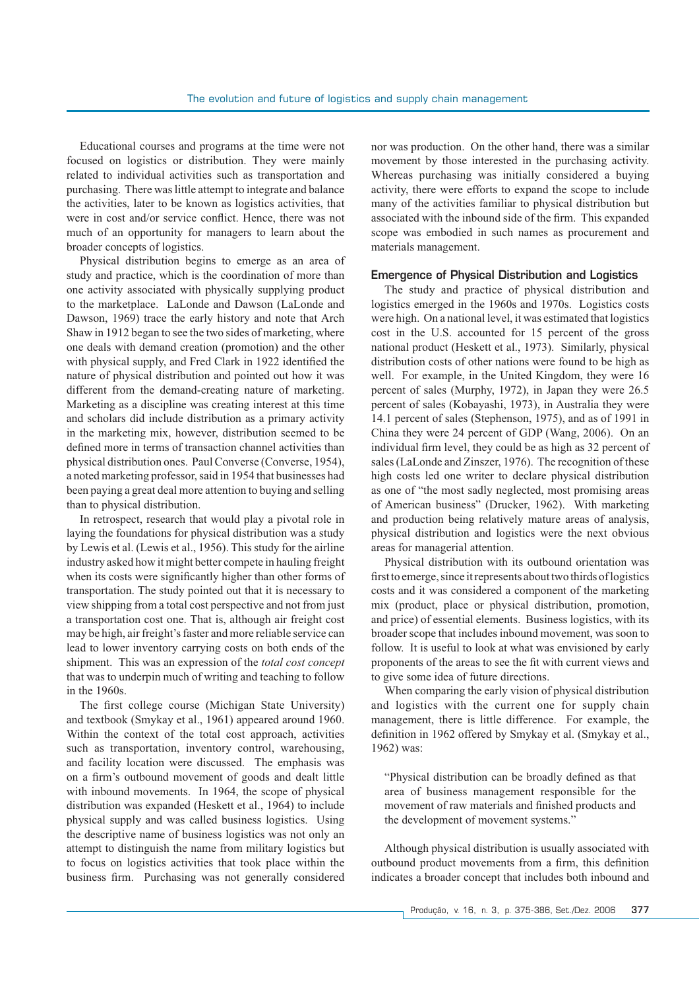Educational courses and programs at the time were not focused on logistics or distribution. They were mainly related to individual activities such as transportation and purchasing. There was little attempt to integrate and balance the activities, later to be known as logistics activities, that were in cost and/or service conflict. Hence, there was not much of an opportunity for managers to learn about the broader concepts of logistics.

Physical distribution begins to emerge as an area of study and practice, which is the coordination of more than one activity associated with physically supplying product to the marketplace. LaLonde and Dawson (LaLonde and Dawson, 1969) trace the early history and note that Arch Shaw in 1912 began to see the two sides of marketing, where one deals with demand creation (promotion) and the other with physical supply, and Fred Clark in 1922 identified the nature of physical distribution and pointed out how it was different from the demand-creating nature of marketing. Marketing as a discipline was creating interest at this time and scholars did include distribution as a primary activity in the marketing mix, however, distribution seemed to be defined more in terms of transaction channel activities than physical distribution ones. Paul Converse (Converse, 1954), a noted marketing professor, said in 1954 that businesses had been paying a great deal more attention to buying and selling than to physical distribution.

In retrospect, research that would play a pivotal role in laying the foundations for physical distribution was a study by Lewis et al. (Lewis et al., 1956). This study for the airline industry asked how it might better compete in hauling freight when its costs were significantly higher than other forms of transportation. The study pointed out that it is necessary to view shipping from a total cost perspective and not from just a transportation cost one. That is, although air freight cost may be high, air freight's faster and more reliable service can lead to lower inventory carrying costs on both ends of the shipment. This was an expression of the *total cost concept* that was to underpin much of writing and teaching to follow in the 1960s.

The first college course (Michigan State University) and textbook (Smykay et al., 1961) appeared around 1960. Within the context of the total cost approach, activities such as transportation, inventory control, warehousing, and facility location were discussed. The emphasis was on a firm's outbound movement of goods and dealt little with inbound movements. In 1964, the scope of physical distribution was expanded (Heskett et al., 1964) to include physical supply and was called business logistics. Using the descriptive name of business logistics was not only an attempt to distinguish the name from military logistics but to focus on logistics activities that took place within the business firm. Purchasing was not generally considered

nor was production. On the other hand, there was a similar movement by those interested in the purchasing activity. Whereas purchasing was initially considered a buying activity, there were efforts to expand the scope to include many of the activities familiar to physical distribution but associated with the inbound side of the firm. This expanded scope was embodied in such names as procurement and materials management.

### Emergence of Physical Distribution and Logistics

The study and practice of physical distribution and logistics emerged in the 1960s and 1970s. Logistics costs were high. On a national level, it was estimated that logistics cost in the U.S. accounted for 15 percent of the gross national product (Heskett et al., 1973). Similarly, physical distribution costs of other nations were found to be high as well. For example, in the United Kingdom, they were 16 percent of sales (Murphy, 1972), in Japan they were 26.5 percent of sales (Kobayashi, 1973), in Australia they were 14.1 percent of sales (Stephenson, 1975), and as of 1991 in China they were 24 percent of GDP (Wang, 2006). On an individual firm level, they could be as high as 32 percent of sales (LaLonde and Zinszer, 1976). The recognition of these high costs led one writer to declare physical distribution as one of "the most sadly neglected, most promising areas of American business" (Drucker, 1962). With marketing and production being relatively mature areas of analysis, physical distribution and logistics were the next obvious areas for managerial attention.

Physical distribution with its outbound orientation was first to emerge, since it represents about two thirds of logistics costs and it was considered a component of the marketing mix (product, place or physical distribution, promotion, and price) of essential elements. Business logistics, with its broader scope that includes inbound movement, was soon to follow. It is useful to look at what was envisioned by early proponents of the areas to see the fit with current views and to give some idea of future directions.

When comparing the early vision of physical distribution and logistics with the current one for supply chain management, there is little difference. For example, the definition in 1962 offered by Smykay et al. (Smykay et al., 1962) was:

"Physical distribution can be broadly defined as that area of business management responsible for the movement of raw materials and finished products and the development of movement systems."

Although physical distribution is usually associated with outbound product movements from a firm, this definition indicates a broader concept that includes both inbound and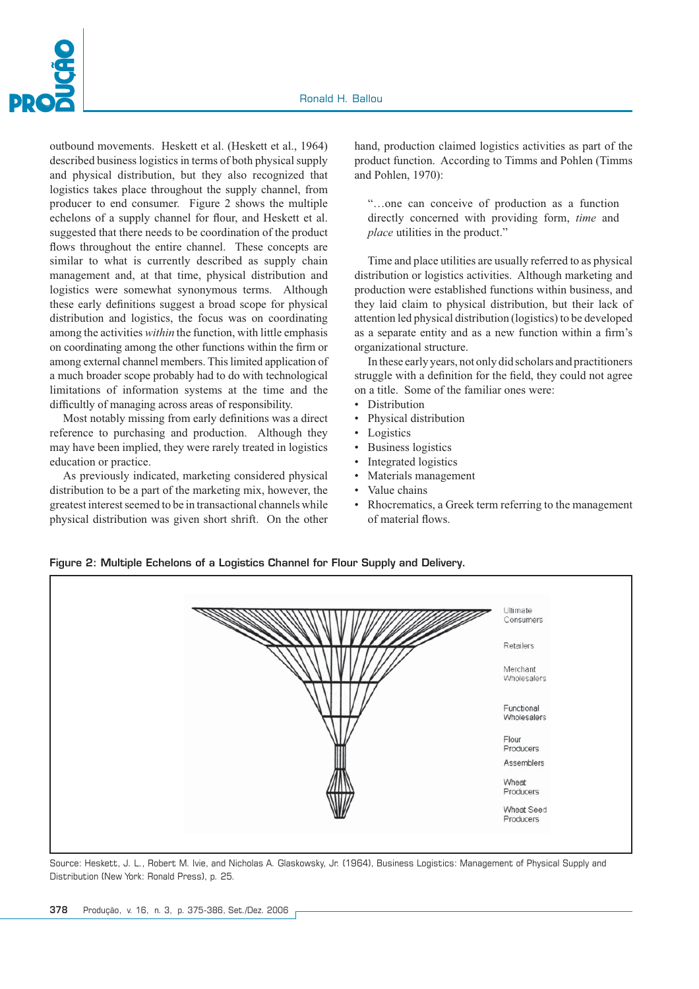

outbound movements. Heskett et al. (Heskett et al., 1964) described business logistics in terms of both physical supply and physical distribution, but they also recognized that logistics takes place throughout the supply channel, from producer to end consumer. Figure 2 shows the multiple echelons of a supply channel for flour, and Heskett et al. suggested that there needs to be coordination of the product flows throughout the entire channel. These concepts are similar to what is currently described as supply chain management and, at that time, physical distribution and logistics were somewhat synonymous terms. Although these early definitions suggest a broad scope for physical distribution and logistics, the focus was on coordinating among the activities *within* the function, with little emphasis on coordinating among the other functions within the firm or among external channel members. This limited application of a much broader scope probably had to do with technological limitations of information systems at the time and the difficultly of managing across areas of responsibility.

Most notably missing from early definitions was a direct reference to purchasing and production. Although they may have been implied, they were rarely treated in logistics education or practice.

As previously indicated, marketing considered physical distribution to be a part of the marketing mix, however, the greatest interest seemed to be in transactional channels while physical distribution was given short shrift. On the other

hand, production claimed logistics activities as part of the product function. According to Timms and Pohlen (Timms and Pohlen, 1970):

"…one can conceive of production as a function directly concerned with providing form, *time* and *place* utilities in the product."

Time and place utilities are usually referred to as physical distribution or logistics activities. Although marketing and production were established functions within business, and they laid claim to physical distribution, but their lack of attention led physical distribution (logistics) to be developed as a separate entity and as a new function within a firm's organizational structure.

In these early years, not only did scholars and practitioners struggle with a definition for the field, they could not agree on a title. Some of the familiar ones were:

- Distribution
- Physical distribution
- **Logistics**
- Business logistics
- Integrated logistics
- Materials management
- Value chains
- Rhocrematics, a Greek term referring to the management of material flows.



Figure 2: Multiple Echelons of a Logistics Channel for Flour Supply and Delivery.

Source: Heskett, J. L., Robert M. Ivie, and Nicholas A. Glaskowsky, Jr. (1964), Business Logistics: Management of Physical Supply and Distribution (New York: Ronald Press), p. 25.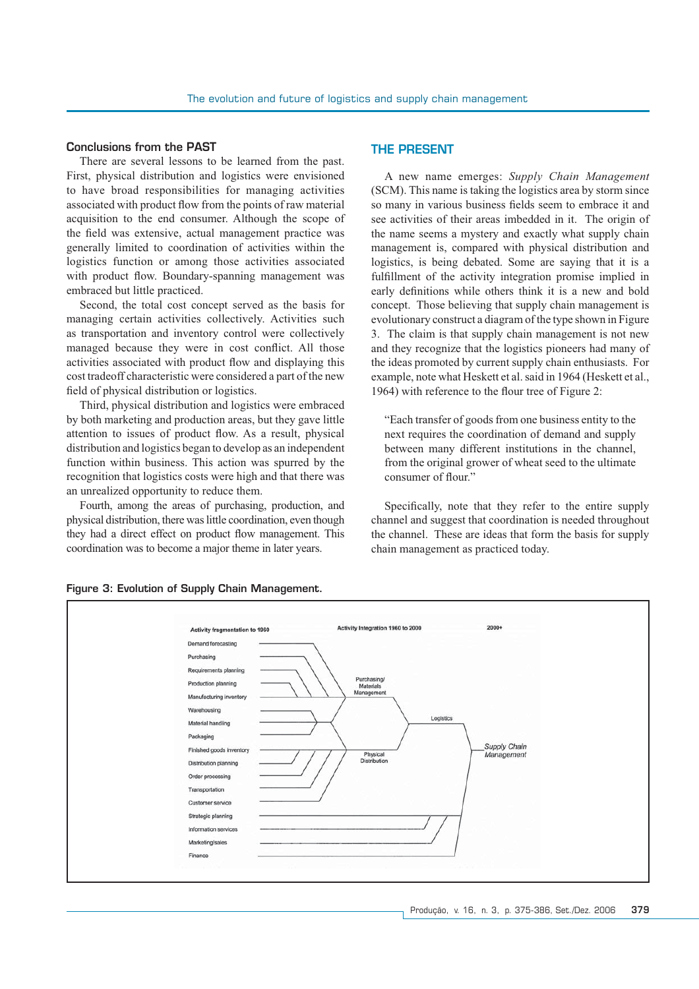# Conclusions from the PAST

There are several lessons to be learned from the past. First, physical distribution and logistics were envisioned to have broad responsibilities for managing activities associated with product flow from the points of raw material acquisition to the end consumer. Although the scope of the field was extensive, actual management practice was generally limited to coordination of activities within the logistics function or among those activities associated with product flow. Boundary-spanning management was embraced but little practiced.

Second, the total cost concept served as the basis for managing certain activities collectively. Activities such as transportation and inventory control were collectively managed because they were in cost conflict. All those activities associated with product flow and displaying this cost tradeoff characteristic were considered a part of the new field of physical distribution or logistics.

Third, physical distribution and logistics were embraced by both marketing and production areas, but they gave little attention to issues of product flow. As a result, physical distribution and logistics began to develop as an independent function within business. This action was spurred by the recognition that logistics costs were high and that there was an unrealized opportunity to reduce them.

Fourth, among the areas of purchasing, production, and physical distribution, there was little coordination, even though they had a direct effect on product flow management. This coordination was to become a major theme in later years.

# THE PRESENT

A new name emerges: *Supply Chain Management* (SCM). This name is taking the logistics area by storm since so many in various business fields seem to embrace it and see activities of their areas imbedded in it. The origin of the name seems a mystery and exactly what supply chain management is, compared with physical distribution and logistics, is being debated. Some are saying that it is a fulfillment of the activity integration promise implied in early definitions while others think it is a new and bold concept. Those believing that supply chain management is evolutionary construct a diagram of the type shown in Figure 3. The claim is that supply chain management is not new and they recognize that the logistics pioneers had many of the ideas promoted by current supply chain enthusiasts. For example, note what Heskett et al. said in 1964 (Heskett et al., 1964) with reference to the flour tree of Figure 2:

"Each transfer of goods from one business entity to the next requires the coordination of demand and supply between many different institutions in the channel, from the original grower of wheat seed to the ultimate consumer of flour."

Specifically, note that they refer to the entire supply channel and suggest that coordination is needed throughout the channel. These are ideas that form the basis for supply chain management as practiced today.



#### Figure 3: Evolution of Supply Chain Management.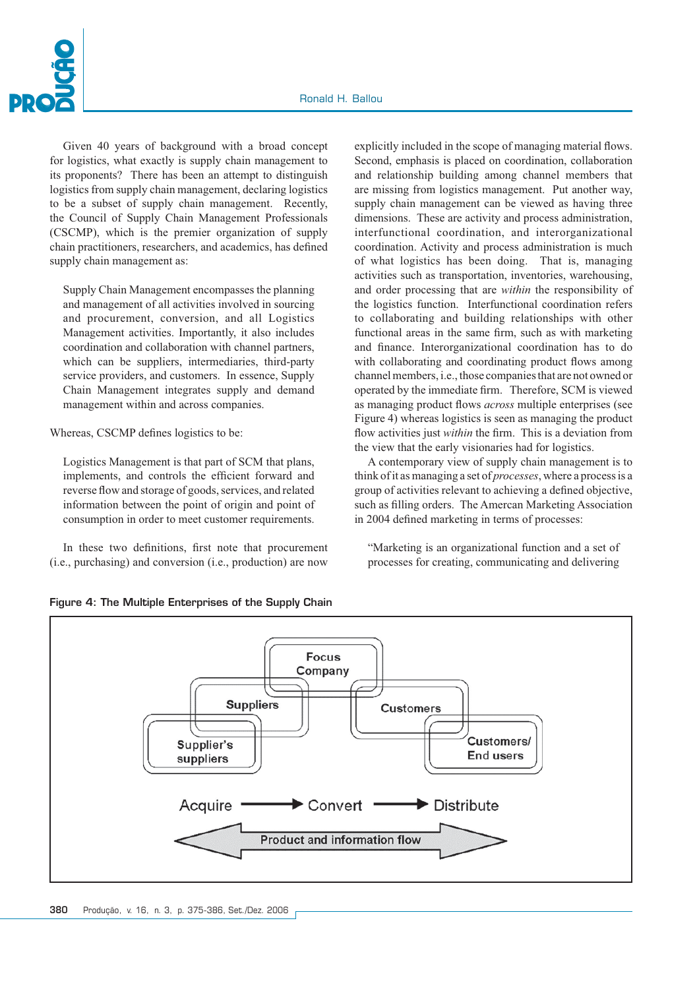

Given 40 years of background with a broad concept for logistics, what exactly is supply chain management to its proponents? There has been an attempt to distinguish logistics from supply chain management, declaring logistics to be a subset of supply chain management. Recently, the Council of Supply Chain Management Professionals (CSCMP), which is the premier organization of supply chain practitioners, researchers, and academics, has defined supply chain management as:

Supply Chain Management encompasses the planning and management of all activities involved in sourcing and procurement, conversion, and all Logistics Management activities. Importantly, it also includes coordination and collaboration with channel partners, which can be suppliers, intermediaries, third-party service providers, and customers. In essence, Supply Chain Management integrates supply and demand management within and across companies.

Whereas, CSCMP defines logistics to be:

Logistics Management is that part of SCM that plans, implements, and controls the efficient forward and reverse flow and storage of goods, services, and related information between the point of origin and point of consumption in order to meet customer requirements.

In these two definitions, first note that procurement (i.e., purchasing) and conversion (i.e., production) are now explicitly included in the scope of managing material flows. Second, emphasis is placed on coordination, collaboration and relationship building among channel members that are missing from logistics management. Put another way, supply chain management can be viewed as having three dimensions. These are activity and process administration, interfunctional coordination, and interorganizational coordination. Activity and process administration is much of what logistics has been doing. That is, managing activities such as transportation, inventories, warehousing, and order processing that are *within* the responsibility of the logistics function. Interfunctional coordination refers to collaborating and building relationships with other functional areas in the same firm, such as with marketing and finance. Interorganizational coordination has to do with collaborating and coordinating product flows among channel members, i.e., those companies that are not owned or operated by the immediate firm. Therefore, SCM is viewed as managing product flows *across* multiple enterprises (see Figure 4) whereas logistics is seen as managing the product flow activities just *within* the firm. This is a deviation from the view that the early visionaries had for logistics.

A contemporary view of supply chain management is to think of it as managing a set of *processes*, where a process is a group of activities relevant to achieving a defined objective, such as filling orders. The Amercan Marketing Association in 2004 defined marketing in terms of processes:

"Marketing is an organizational function and a set of processes for creating, communicating and delivering

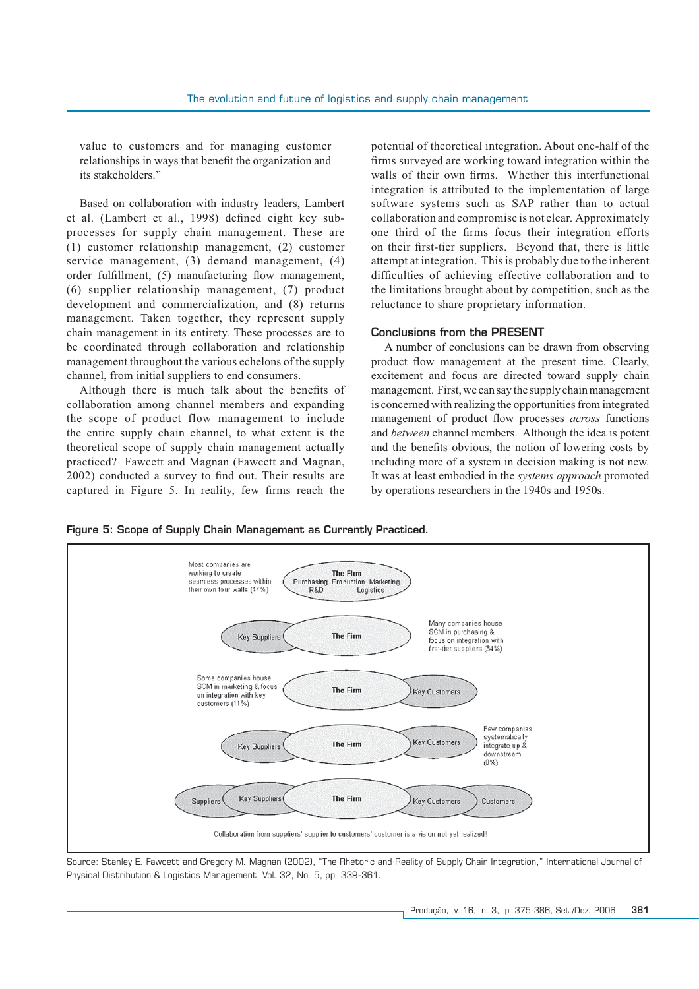value to customers and for managing customer relationships in ways that benefit the organization and its stakeholders."

Based on collaboration with industry leaders, Lambert et al. (Lambert et al., 1998) defined eight key subprocesses for supply chain management. These are (1) customer relationship management, (2) customer service management, (3) demand management, (4) order fulfillment, (5) manufacturing flow management, (6) supplier relationship management, (7) product development and commercialization, and (8) returns management. Taken together, they represent supply chain management in its entirety. These processes are to be coordinated through collaboration and relationship management throughout the various echelons of the supply channel, from initial suppliers to end consumers.

Although there is much talk about the benefits of collaboration among channel members and expanding the scope of product flow management to include the entire supply chain channel, to what extent is the theoretical scope of supply chain management actually practiced? Fawcett and Magnan (Fawcett and Magnan, 2002) conducted a survey to find out. Their results are captured in Figure 5. In reality, few firms reach the

potential of theoretical integration. About one-half of the firms surveyed are working toward integration within the walls of their own firms. Whether this interfunctional integration is attributed to the implementation of large software systems such as SAP rather than to actual collaboration and compromise is not clear. Approximately one third of the firms focus their integration efforts on their first-tier suppliers. Beyond that, there is little attempt at integration. This is probably due to the inherent difficulties of achieving effective collaboration and to the limitations brought about by competition, such as the reluctance to share proprietary information.

## Conclusions from the PRESENT

A number of conclusions can be drawn from observing product flow management at the present time. Clearly, excitement and focus are directed toward supply chain management. First, we can say the supply chain management is concerned with realizing the opportunities from integrated management of product flow processes *across* functions and *between* channel members. Although the idea is potent and the benefits obvious, the notion of lowering costs by including more of a system in decision making is not new. It was at least embodied in the *systems approach* promoted by operations researchers in the 1940s and 1950s.





Source: Stanley E. Fawcett and Gregory M. Magnan (2002), "The Rhetoric and Reality of Supply Chain Integration," International Journal of Physical Distribution & Logistics Management, Vol. 32, No. 5, pp. 339-361.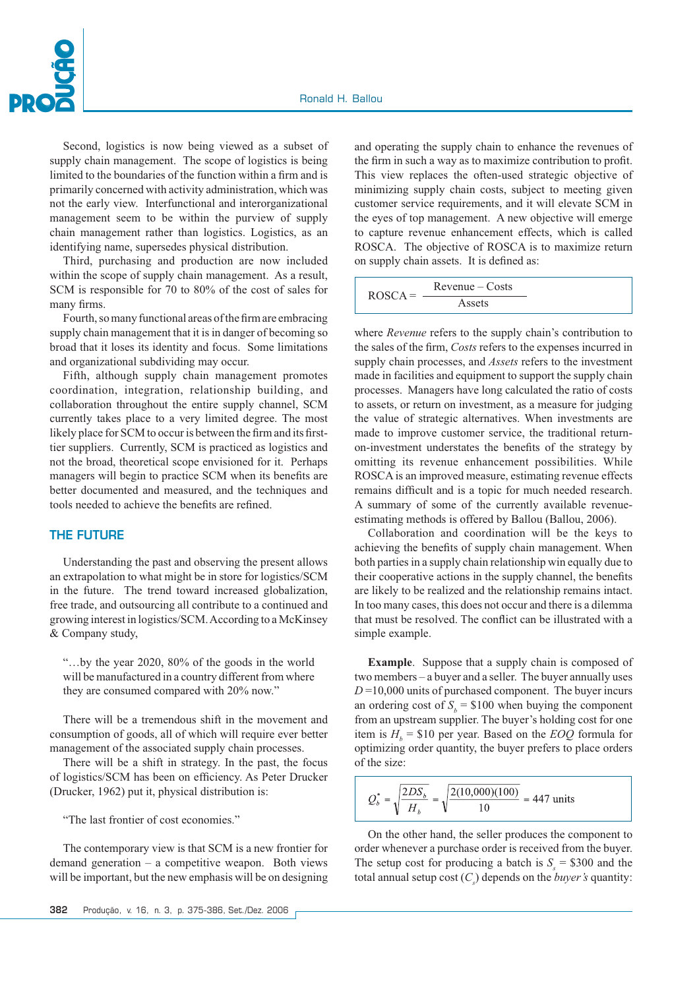

Second, logistics is now being viewed as a subset of supply chain management. The scope of logistics is being limited to the boundaries of the function within a firm and is primarily concerned with activity administration, which was not the early view. Interfunctional and interorganizational management seem to be within the purview of supply chain management rather than logistics. Logistics, as an identifying name, supersedes physical distribution.

Third, purchasing and production are now included within the scope of supply chain management. As a result, SCM is responsible for 70 to 80% of the cost of sales for many firms.

Fourth, so many functional areas of the firm are embracing supply chain management that it is in danger of becoming so broad that it loses its identity and focus. Some limitations and organizational subdividing may occur.

Fifth, although supply chain management promotes coordination, integration, relationship building, and collaboration throughout the entire supply channel, SCM currently takes place to a very limited degree. The most likely place for SCM to occur is between the firm and its firsttier suppliers. Currently, SCM is practiced as logistics and not the broad, theoretical scope envisioned for it. Perhaps managers will begin to practice SCM when its benefits are better documented and measured, and the techniques and tools needed to achieve the benefits are refined.

# THE FUTURE

Understanding the past and observing the present allows an extrapolation to what might be in store for logistics/SCM in the future. The trend toward increased globalization, free trade, and outsourcing all contribute to a continued and growing interest in logistics/SCM. According to a McKinsey & Company study,

"…by the year 2020, 80% of the goods in the world will be manufactured in a country different from where they are consumed compared with 20% now."

There will be a tremendous shift in the movement and consumption of goods, all of which will require ever better management of the associated supply chain processes.

There will be a shift in strategy. In the past, the focus of logistics/SCM has been on efficiency. As Peter Drucker (Drucker, 1962) put it, physical distribution is:

"The last frontier of cost economies."

The contemporary view is that SCM is a new frontier for demand generation – a competitive weapon. Both views will be important, but the new emphasis will be on designing

382 Produção, v. 16, n. 3, p. 375-386, Set./Dez. 2006

and operating the supply chain to enhance the revenues of the firm in such a way as to maximize contribution to profit. This view replaces the often-used strategic objective of minimizing supply chain costs, subject to meeting given customer service requirements, and it will elevate SCM in the eyes of top management. A new objective will emerge to capture revenue enhancement effects, which is called ROSCA. The objective of ROSCA is to maximize return on supply chain assets. It is defined as:

| $ROSCA =$ | $Revenue - Costs$ |  |
|-----------|-------------------|--|
|           | Assets            |  |

where *Revenue* refers to the supply chain's contribution to the sales of the firm, *Costs* refers to the expenses incurred in supply chain processes, and *Assets* refers to the investment made in facilities and equipment to support the supply chain processes. Managers have long calculated the ratio of costs to assets, or return on investment, as a measure for judging the value of strategic alternatives. When investments are made to improve customer service, the traditional returnon-investment understates the benefits of the strategy by omitting its revenue enhancement possibilities. While ROSCA is an improved measure, estimating revenue effects remains difficult and is a topic for much needed research. A summary of some of the currently available revenueestimating methods is offered by Ballou (Ballou, 2006).

Collaboration and coordination will be the keys to achieving the benefits of supply chain management. When both parties in a supply chain relationship win equally due to their cooperative actions in the supply channel, the benefits are likely to be realized and the relationship remains intact. In too many cases, this does not occur and there is a dilemma that must be resolved. The conflict can be illustrated with a simple example.

**Example**. Suppose that a supply chain is composed of two members – a buyer and a seller. The buyer annually uses  $D=10,000$  units of purchased component. The buyer incurs an ordering cost of  $S_b$  = \$100 when buying the component from an upstream supplier. The buyer's holding cost for one item is  $H_b$  = \$10 per year. Based on the *EOQ* formula for optimizing order quantity, the buyer prefers to place orders of the size:

$$
Q_b^* = \sqrt{\frac{2DS_b}{H_b}} = \sqrt{\frac{2(10,000)(100)}{10}} = 447
$$
 units

On the other hand, the seller produces the component to order whenever a purchase order is received from the buyer. The setup cost for producing a batch is  $S<sub>s</sub> = $300$  and the total annual setup cost  $(C_s)$  depends on the *buyer's* quantity: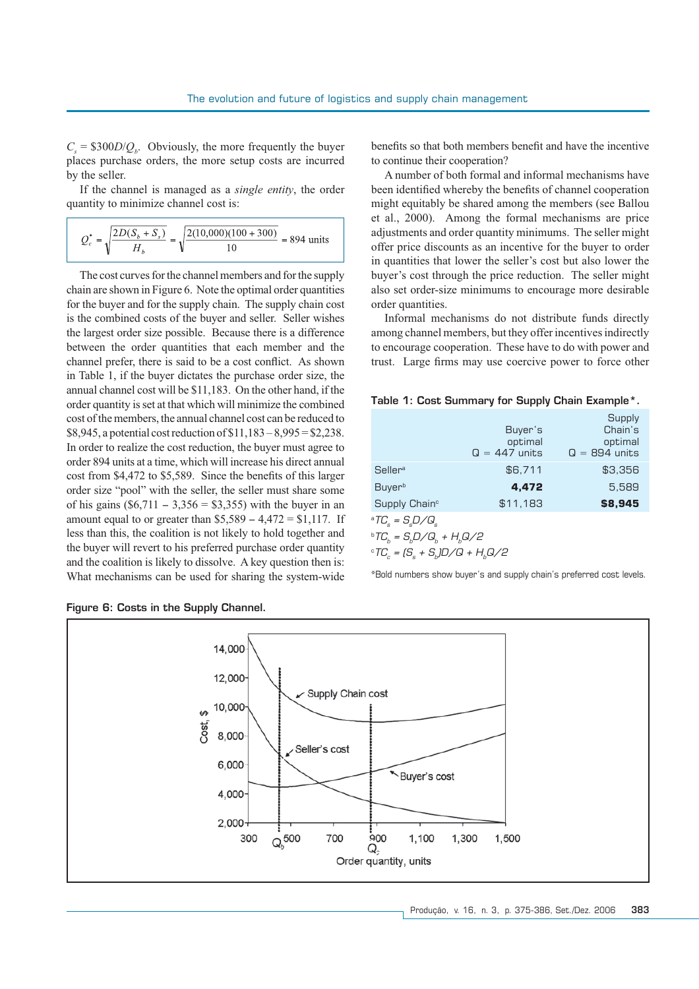$C_s = $300D/Q_b$ . Obviously, the more frequently the buyer places purchase orders, the more setup costs are incurred by the seller.

If the channel is managed as a *single entity*, the order quantity to minimize channel cost is:

$$
Q_c^* = \sqrt{\frac{2D(S_b + S_s)}{H_b}} = \sqrt{\frac{2(10,000)(100 + 300)}{10}} = 894
$$
 units

The cost curves for the channel members and for the supply chain are shown in Figure 6. Note the optimal order quantities for the buyer and for the supply chain. The supply chain cost is the combined costs of the buyer and seller. Seller wishes the largest order size possible. Because there is a difference between the order quantities that each member and the channel prefer, there is said to be a cost conflict. As shown in Table 1, if the buyer dictates the purchase order size, the annual channel cost will be \$11,183. On the other hand, if the order quantity is set at that which will minimize the combined cost of the members, the annual channel cost can be reduced to \$8,945, a potential cost reduction of \$11,183 – 8,995 = \$2,238. In order to realize the cost reduction, the buyer must agree to order 894 units at a time, which will increase his direct annual cost from \$4,472 to \$5,589. Since the benefits of this larger order size "pool" with the seller, the seller must share some of his gains  $(\$6,711 - 3,356 = \$3,355)$  with the buyer in an amount equal to or greater than  $$5,589 - 4,472 = $1,117$ . If less than this, the coalition is not likely to hold together and the buyer will revert to his preferred purchase order quantity and the coalition is likely to dissolve. A key question then is: What mechanisms can be used for sharing the system-wide



benefits so that both members benefit and have the incentive to continue their cooperation?

A number of both formal and informal mechanisms have been identified whereby the benefits of channel cooperation might equitably be shared among the members (see Ballou et al., 2000). Among the formal mechanisms are price adjustments and order quantity minimums. The seller might offer price discounts as an incentive for the buyer to order in quantities that lower the seller's cost but also lower the buyer's cost through the price reduction. The seller might also set order-size minimums to encourage more desirable order quantities.

Informal mechanisms do not distribute funds directly among channel members, but they offer incentives indirectly to encourage cooperation. These have to do with power and trust. Large firms may use coercive power to force other

| Table 1: Cost Summary for Supply Chain Example*. |  |  |
|--------------------------------------------------|--|--|
|--------------------------------------------------|--|--|

|                                                    | Buyer's<br>optimal<br>$Q = 447$ units | Supply<br>Chain's<br>optimal<br>$Q = 894$ units |  |  |  |
|----------------------------------------------------|---------------------------------------|-------------------------------------------------|--|--|--|
| <b>Seller</b> <sup>a</sup>                         | \$6,711                               | \$3,356                                         |  |  |  |
| <b>Buver</b> <sup>b</sup>                          | 4,472                                 | 5,589                                           |  |  |  |
| Supply Chain <sup>c</sup>                          | \$11,183                              | \$8,945                                         |  |  |  |
| ${}^{\circ}TC_{\circ} = S_{\circ}D/G_{\circ}$      |                                       |                                                 |  |  |  |
| ${}^{b}TC_{h} = S_{h}D/Q_{h} + H_{h}Q/2$           |                                       |                                                 |  |  |  |
| ${}^{\circ}TC_{c} = (S_{s} + S_{h})D/G + H_{h}Q/2$ |                                       |                                                 |  |  |  |

\*Bold numbers show buyer's and supply chain's preferred cost levels.

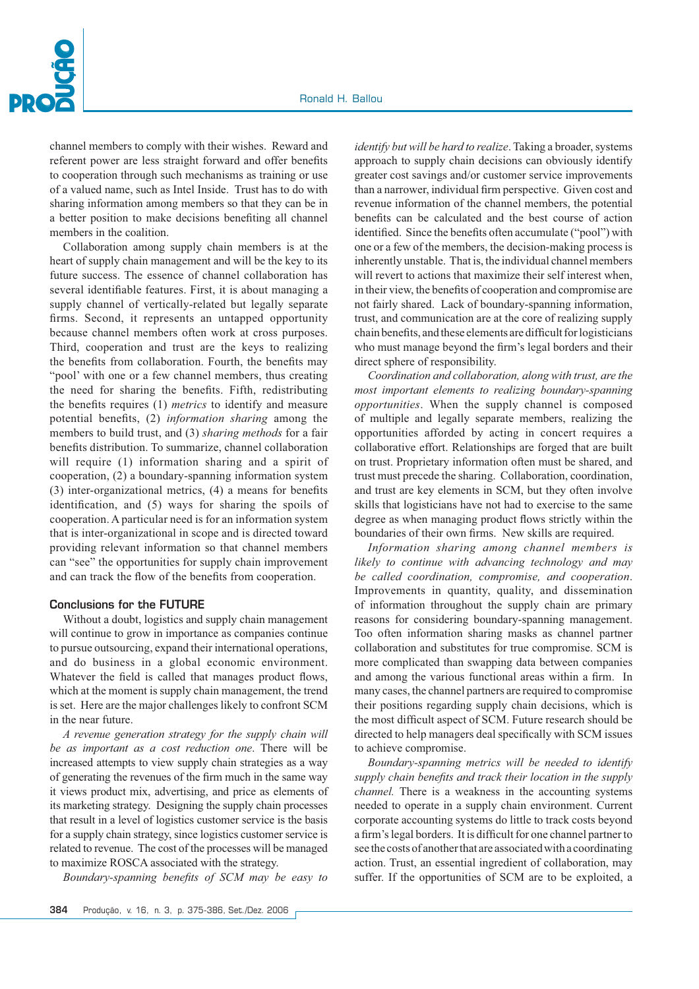

channel members to comply with their wishes. Reward and referent power are less straight forward and offer benefits to cooperation through such mechanisms as training or use of a valued name, such as Intel Inside. Trust has to do with sharing information among members so that they can be in a better position to make decisions benefiting all channel members in the coalition.

Collaboration among supply chain members is at the heart of supply chain management and will be the key to its future success. The essence of channel collaboration has several identifiable features. First, it is about managing a supply channel of vertically-related but legally separate firms. Second, it represents an untapped opportunity because channel members often work at cross purposes. Third, cooperation and trust are the keys to realizing the benefits from collaboration. Fourth, the benefits may "pool' with one or a few channel members, thus creating the need for sharing the benefits. Fifth, redistributing the benefits requires (1) *metrics* to identify and measure potential benefits, (2) *information sharing* among the members to build trust, and (3) *sharing methods* for a fair benefits distribution. To summarize, channel collaboration will require (1) information sharing and a spirit of cooperation, (2) a boundary-spanning information system  $(3)$  inter-organizational metrics,  $(4)$  a means for benefits identification, and (5) ways for sharing the spoils of cooperation. A particular need is for an information system that is inter-organizational in scope and is directed toward providing relevant information so that channel members can "see" the opportunities for supply chain improvement and can track the flow of the benefits from cooperation.

# Conclusions for the FUTURE

Without a doubt, logistics and supply chain management will continue to grow in importance as companies continue to pursue outsourcing, expand their international operations, and do business in a global economic environment. Whatever the field is called that manages product flows, which at the moment is supply chain management, the trend is set. Here are the major challenges likely to confront SCM in the near future.

*A revenue generation strategy for the supply chain will be as important as a cost reduction one*. There will be increased attempts to view supply chain strategies as a way of generating the revenues of the firm much in the same way it views product mix, advertising, and price as elements of its marketing strategy. Designing the supply chain processes that result in a level of logistics customer service is the basis for a supply chain strategy, since logistics customer service is related to revenue. The cost of the processes will be managed to maximize ROSCA associated with the strategy.

Boundary-spanning benefits of SCM may be easy to

*identify but will be hard to realize*. Taking a broader, systems approach to supply chain decisions can obviously identify greater cost savings and/or customer service improvements than a narrower, individual firm perspective. Given cost and revenue information of the channel members, the potential benefits can be calculated and the best course of action identified. Since the benefits often accumulate ("pool") with one or a few of the members, the decision-making process is inherently unstable. That is, the individual channel members will revert to actions that maximize their self interest when, in their view, the benefits of cooperation and compromise are not fairly shared. Lack of boundary-spanning information, trust, and communication are at the core of realizing supply chain benefits, and these elements are difficult for logisticians who must manage beyond the firm's legal borders and their direct sphere of responsibility.

*Coordination and collaboration, along with trust, are the most important elements to realizing boundary-spanning opportunities*. When the supply channel is composed of multiple and legally separate members, realizing the opportunities afforded by acting in concert requires a collaborative effort. Relationships are forged that are built on trust. Proprietary information often must be shared, and trust must precede the sharing. Collaboration, coordination, and trust are key elements in SCM, but they often involve skills that logisticians have not had to exercise to the same degree as when managing product flows strictly within the boundaries of their own firms. New skills are required.

*Information sharing among channel members is likely to continue with advancing technology and may be called coordination, compromise, and cooperation*. Improvements in quantity, quality, and dissemination of information throughout the supply chain are primary reasons for considering boundary-spanning management. Too often information sharing masks as channel partner collaboration and substitutes for true compromise. SCM is more complicated than swapping data between companies and among the various functional areas within a firm. In many cases, the channel partners are required to compromise their positions regarding supply chain decisions, which is the most difficult aspect of SCM. Future research should be directed to help managers deal specifically with SCM issues to achieve compromise.

*Boundary-spanning metrics will be needed to identify*  supply chain benefits and track their location in the supply *channel*. There is a weakness in the accounting systems needed to operate in a supply chain environment. Current corporate accounting systems do little to track costs beyond a firm's legal borders. It is difficult for one channel partner to see the costs of another that are associated with a coordinating action. Trust, an essential ingredient of collaboration, may suffer. If the opportunities of SCM are to be exploited, a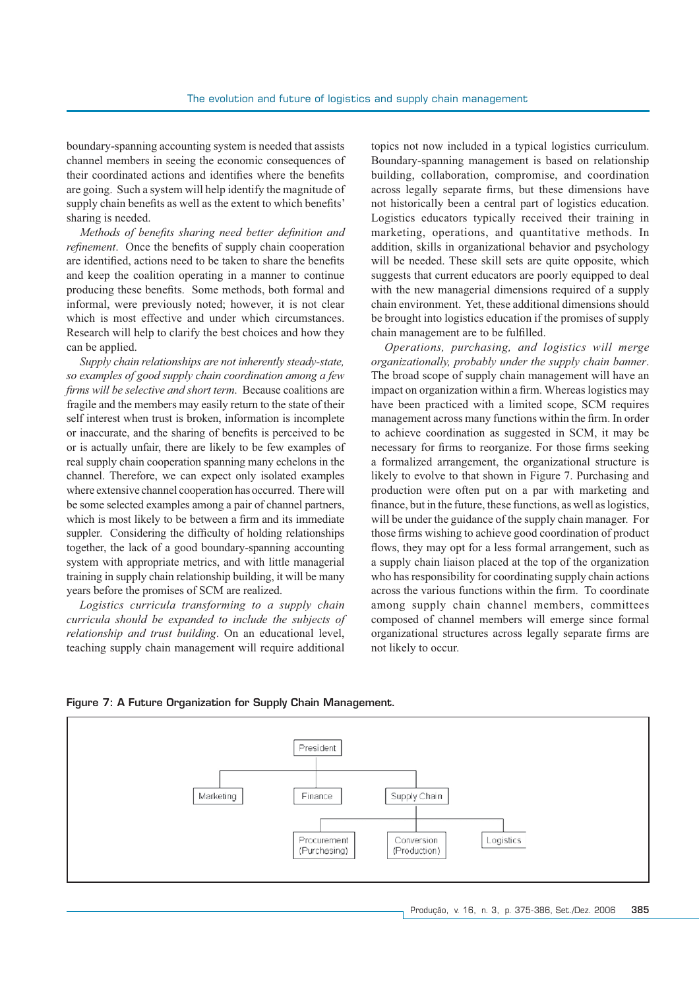boundary-spanning accounting system is needed that assists channel members in seeing the economic consequences of their coordinated actions and identifies where the benefits are going. Such a system will help identify the magnitude of supply chain benefits as well as the extent to which benefits' sharing is needed.

*Methods of benefits sharing need better definition and refinement*. Once the benefits of supply chain cooperation are identified, actions need to be taken to share the benefits and keep the coalition operating in a manner to continue producing these benefits. Some methods, both formal and informal, were previously noted; however, it is not clear which is most effective and under which circumstances. Research will help to clarify the best choices and how they can be applied.

*Supply chain relationships are not inherently steady-state, so examples of good supply chain coordination among a few firms will be selective and short term.* Because coalitions are fragile and the members may easily return to the state of their self interest when trust is broken, information is incomplete or inaccurate, and the sharing of benefits is perceived to be or is actually unfair, there are likely to be few examples of real supply chain cooperation spanning many echelons in the channel. Therefore, we can expect only isolated examples where extensive channel cooperation has occurred. There will be some selected examples among a pair of channel partners, which is most likely to be between a firm and its immediate suppler. Considering the difficulty of holding relationships together, the lack of a good boundary-spanning accounting system with appropriate metrics, and with little managerial training in supply chain relationship building, it will be many years before the promises of SCM are realized.

*Logistics curricula transforming to a supply chain curricula should be expanded to include the subjects of relationship and trust building*. On an educational level, teaching supply chain management will require additional

topics not now included in a typical logistics curriculum. Boundary-spanning management is based on relationship building, collaboration, compromise, and coordination across legally separate firms, but these dimensions have not historically been a central part of logistics education. Logistics educators typically received their training in marketing, operations, and quantitative methods. In addition, skills in organizational behavior and psychology will be needed. These skill sets are quite opposite, which suggests that current educators are poorly equipped to deal with the new managerial dimensions required of a supply chain environment. Yet, these additional dimensions should be brought into logistics education if the promises of supply chain management are to be fulfilled.

*Operations, purchasing, and logistics will merge organizationally, probably under the supply chain banner*. The broad scope of supply chain management will have an impact on organization within a firm. Whereas logistics may have been practiced with a limited scope, SCM requires management across many functions within the firm. In order to achieve coordination as suggested in SCM, it may be necessary for firms to reorganize. For those firms seeking a formalized arrangement, the organizational structure is likely to evolve to that shown in Figure 7. Purchasing and production were often put on a par with marketing and finance, but in the future, these functions, as well as logistics, will be under the guidance of the supply chain manager. For those firms wishing to achieve good coordination of product flows, they may opt for a less formal arrangement, such as a supply chain liaison placed at the top of the organization who has responsibility for coordinating supply chain actions across the various functions within the firm. To coordinate among supply chain channel members, committees composed of channel members will emerge since formal organizational structures across legally separate firms are not likely to occur.